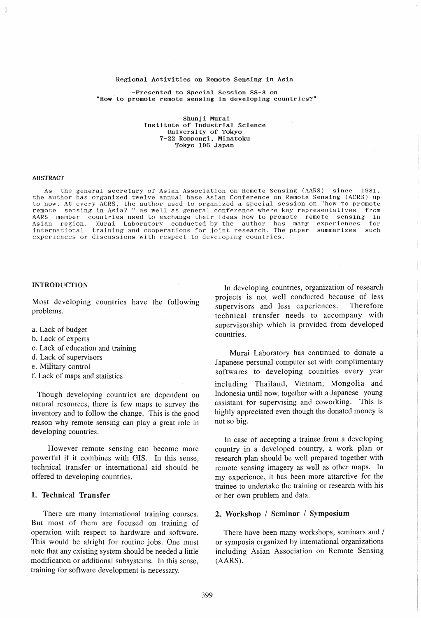#### Regional Activities on Remote Sensing in Asia

-Presented to Special Session SS-8 on "How to promote remote sensing in developing countries?"

Shunji Murai Institute of Industrial Science University of Tokyo 7-22 Roppongi. Minatoku Tokyo 106 Japan

#### ABSTRACT

As the general secretary of Asian Association on Remote Sensing (AARS) since 1981, the author has organized twelve annual base Asian Conference on Remote Sensing (ACRS) up to now. At every ACRS, the author used to organized a special session on "how to promote remote sensing in Asia? " as well as general conference where key representatives from AARS member countries used to exchange their ideas how to promote remote sensing in<br>Asian region. Murai Laboratory conducted by the author has many experiences for Asian region. Murai Laboratory conducted by the author has many experiences for international training and cooperations for joint research. The paper summarizes such experiences or discussions with respect to developing countries.

#### INTRODUCTION

Most developing countries have the following problems.

- a. Lack of budget
- b. Lack of experts
- c. Lack of education and training
- d. Lack of supervisors
- e. Military control
- f. Lack of maps and statistics

Though developing countries are dependent on natural resources, there is few maps to survey the inventory and to follow the change. This is the good reason why remote sensing can playa great role in developing countries.

However remote sensing can become more powerful if it combines with GIS. In this sense, technical transfer or international aid should be offered to developing countries.

#### 1. Technical Transfer

There are many international training courses. But most of them are focused on training of operation with respect to hardware and software. This would be alright for routine jobs. One must note that any existing system should be needed a little modification or additional subsystems. In this sense, training for software development is necessary.

In developing countries, organization of research projects is not well conducted because of less supervisors and less experiences. Therefore technical transfer needs to accompany with supervisorship which is provided from developed countries.

Murai Laboratory has continued to donate a Japanese personal computer set with complimentary softwares to developing countries every year including Thailand, Vietnam, Mongolia and Indonesia until now, together with a Japanese young assistant for supervising and coworking. This is highly appreciated even though the donated money is not so big.

In case of accepting a trainee from a developing country in a developed country, a work plan or research plan should be well prepared together with remote sensing imagery as well as other maps. In my experience, it has been more attarctive for the trainee to undertake the training or research with his or her own problem and data.

#### 2. Workshop / Seminar / Symposium

There have been many workshops, seminars and / or symposia organized by international organizations including Asian Association on Remote Sensing (AARS).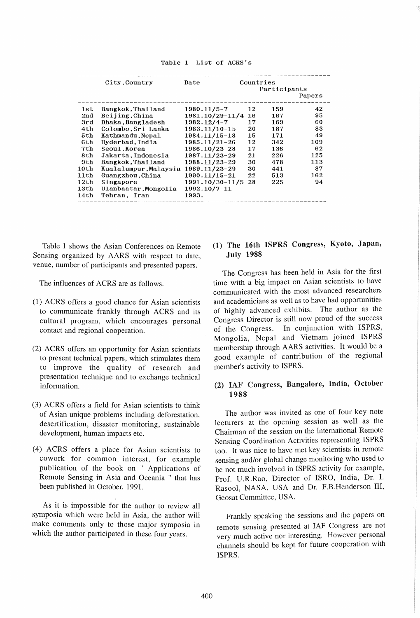|  |  |  | Table 1 List of ACRS's |  |  |  |
|--|--|--|------------------------|--|--|--|
|--|--|--|------------------------|--|--|--|

| City, Country   |                      | Date            | Countries |              |        |
|-----------------|----------------------|-----------------|-----------|--------------|--------|
|                 |                      |                 |           | Participants |        |
|                 |                      |                 |           |              | Papers |
| 1st             | Bangkok, Thailand    | $1980.11/5 - 7$ | 12        | 159          | 42     |
| 2 <sub>nd</sub> | Beijing, China       | 1981.10/29-11/4 | 16        | 167          | 95     |
| 3rd             | Dhaka, Bangladesh    | $1982.12/4 - 7$ | 17        | 169          | 60     |
| 4th             | Colombo, Sri Lanka   | 1983.11/10-15   | 20        | 187          | 83     |
| 5th             | Kathmandu.Nepal      | 1984.11/15-18   | 15        | 171          | 49     |
| 6th             | Hyderbad, India      | 1985.11/21-26   | 12        | 342          | 109    |
| 7th             | Seoul.Korea          | 1986.10/23-28   | 17        | 136          | 62     |
| 8th             | Jakarta.Indonesia    | 1987.11/23-29   | 21        | 226          | 125    |
| 9th             | Bangkok.Thailand     | 1988.11/23-29   | 30        | 478          | 113    |
| 10th            | Kualalumpur,Malaysia | 1989.11/23-29   | 30        | 441          | 87     |
| 11th            | Guangzhou, China     | 1990.11/15-21   | 22        | 513          | 162    |
| 12th            | Singapore            | 1991.10/30-11/5 | 28        | 225          | 94     |
| 13th            | Ulanbaatar, Mongolia | 1992.10/7-11    |           |              |        |
| 14th            | Tehran, Iran         | 1993.           |           |              |        |

Table 1 shows the Asian Conferences on Remote Sensing organized by AARS with respect to date, venue, number of participants and presented papers.

The influences of ACRS are as follows.

- (1) ACRS offers a good chance for Asian scientists to communicate frankly through ACRS and its cultural program, which encourages personal contact and regional cooperation.
- (2) ACRS offers an opportunity for Asian scientists to present technical papers, which stimulates them to improve the quality of research and presentation technique and to exchange technical information.
- (3) ACRS offers a field for Asian scientists to think of Asian unique problems including deforestation, desertification, disaster monitoring, sustainable development, human impacts etc.
- (4) ACRS offers a place for Asian scientists to cowork for common interest, for example publication of the book on " Applications of Remote Sensing in Asia and Oceania " that has been published in October, 1991.

As it is impossible for the author to review all symposia which were held in Asia, the author will make comments only to those major symposia in which the author participated in these four years.

# (1) The 16th ISPRS Congress, Kyoto, Japan, July 1988

The Congress has been held in Asia for the first time with a big impact on Asian scientists to have communicated with the most advanced researchers and academicians as well as to have had opportunities of highly advanced exhibits. The author as the Congress Director is still now proud of the success of the Congress. In conjunction with ISPRS, Mongolia, Nepal and Vietnam joined ISPRS membership through AARS activities. It would be a good example of contribution of the regional member's activity to ISPRS.

# (2) IAF Congress, Bangalore, India, October 1988

The author was invited as one of four key note lecturers at the opening session as well as the Chairman of the session on the International Remote Sensing Coordination Activities representing ISPRS too. It was nice to have met key scientists in remote sensing and/or global change monitoring who used to be not much involved in ISPRS activity for example, Prof. U.R.Rao, Director of ISRO, India, Dr. 1. Rasool, NASA, USA and Dr. F.B.Henderson III, Geosat Committee, USA.

Frankly speaking the sessions and the papers on remote sensing presented at IAF Congress are not very much active nor interesting. However personal channels should be kept for future cooperation with ISPRS.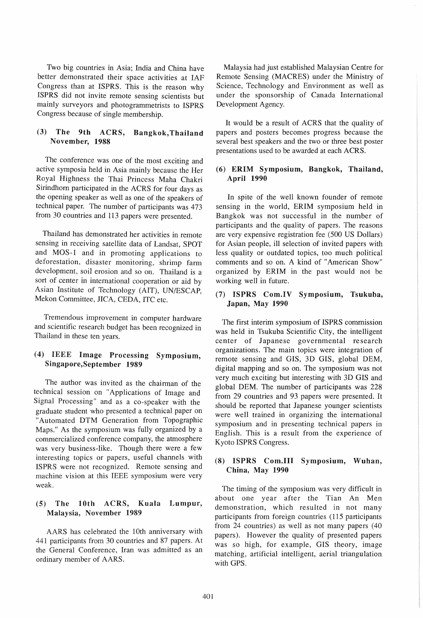Two big countries in Asia; India and China have better demonstrated their space activities at IAF Congress than at ISPRS. This is the reason why ISPRS did not invite remote sensing scientists but mainly surveyors and photogrammetrists to ISPRS Congress because of single membership.

# (3) The 9th ACRS, Bangkok, Thailand November, 1988

The conference was one of the most exciting and active symposia held in Asia mainly because the Her Royal Highness the Thai Princess Maha Chakri Sirindhorn participated in the ACRS for four days as the opening speaker as well as one of the speakers of technical paper. The number of participants was 473 from 30 countries and 113 papers were presented.

Thailand has demonstrated her activities in remote sensing in receiving satellite data of Landsat, SPOT and MOS-1 and in promoting applications to deforestation, disaster monitoring, shrimp farm development, soil erosion and so on. Thailand is a sort of center in international cooperation or aid by Asian Institute of Technology (AIT), UN/ESCAP, Mekon Committee, JICA, CEDA, ITC etc.

Tremendous improvement in computer hardware and scientific research budget has been recognized in Thailand in these ten years.

# (4) IEEE Image Processing Symposium, Singapore,September 1989

The author was invited as the chairman of the technical session on "Applications of Image and Signal Processing" and as a co-speaker with the graduate student who presented a technical paper on "Automated DTM Generation from Topographic Maps." As the symposium was fully organized by a commercialized conference company, the atmosphere was very business-like. Though there were a few interesting topics or papers, useful channels with ISPRS were not recognized. Remote sensing and machine vision at this IEEE symposium were very weak.

## (5) The 10th ACRS, Kuala Lumpur, Malaysia, November 1989

AARS has celebrated the 10th anniversary with 441 participants from 30 countries and 87 papers. At the General Conference, Iran was admitted as an ordinary member of AARS.

Malaysia had just established Malaysian Centre for Remote Sensing (MACRES) under the Ministry of Science, Technology and Environment as well as under the sponsorship of Canada International Development Agency.

It would be a result of ACRS that the quality of papers and posters becomes progress because the several best speakers and the two or three best poster presentations used to be awarded at each ACRS.

#### (6) ERIM Symposium, Bangkok, Thailand, April 1990

In spite of the well known founder of remote sensing in the world, ERIM symposium held in Bangkok was not successful in the number of participants and the quality of papers. The reasons are very expensive registration fee (500 US Dollars) for Asian people, ill selection of invited papers with less quality or outdated topics, too much political comments and so on. A kind of "American Show" organized by ERIM in the past would not be working well in future.

#### (7) ISPRS Com.IV Symposium, Tsukuba, Japan, May 1990

The first interim symposium of ISPRS commission was held in Tsukuba Scientific City, the intelligent center of Japanese governmental research organizations. The main topics were integration of remote sensing and GIS, 3D GIS, global DEM, digital mapping and so on. The symposium was not very much exciting but interesting with 3D GIS and global DEM. The number of participants was 228 from 29 countries and 93 papers were presented. It should be reported that Japanese younger scientists were well trained in organizing the international symposium and in presenting technical papers in English. This is a result from the experience of Kyoto ISPRS Congress.

## (8) ISPRS Com.III Symposium, Wuhan, China, May 1990

The timing of the symposium was very difficult in about one year after the Tian An Men demonstration, which resulted in not many participants from foreign countries (115 participants from 24 countries) as well as not many papers (40 papers). However the quality of presented papers was so high, for example, GIS theory, image matching, artificial intelligent, aerial triangulation with GPS.